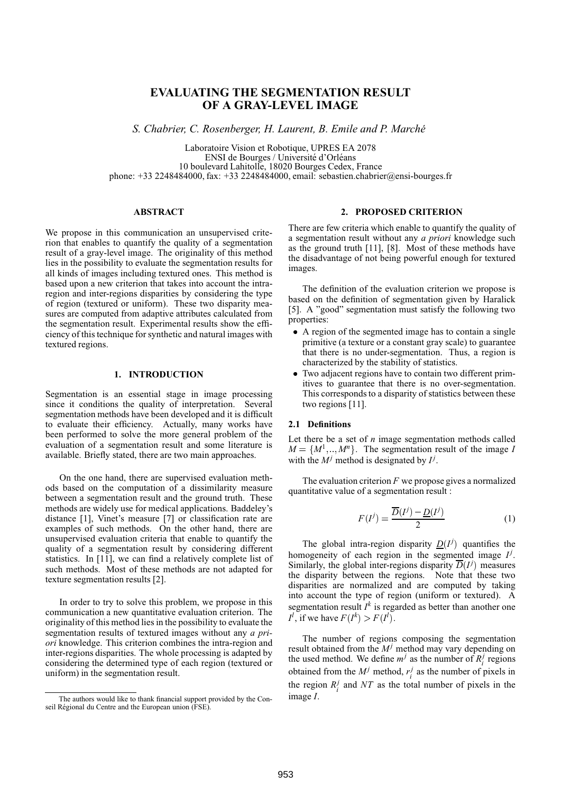# **EVALUATING THE SEGMENTATION RESULT OF A GRAY-LEVEL IMAGE**

*S. Chabrier, C. Rosenberger, H. Laurent, B. Emile and P. Marche´*

Laboratoire Vision et Robotique, UPRES EA 2078 ENSI de Bourges / Université d'Orléans 10 boulevard Lahitolle, 18020 Bourges Cedex, France phone: +33 2248484000, fax: +33 2248484000, email: sebastien.chabrier@ensi-bourges.fr

## **ABSTRACT**

We propose in this communication an unsupervised criterion that enables to quantify the quality of a segmentation result of a gray-level image. The originality of this method lies in the possibility to evaluate the segmentation results for all kinds of images including textured ones. This method is based upon a new criterion that takes into account the intraregion and inter-regions disparities by considering the type of region (textured or uniform). These two disparity measures are computed from adaptive attributes calculated from the segmentation result. Experimental results show the efficiency of this technique for synthetic and natural images with textured regions.

### **1. INTRODUCTION**

Segmentation is an essential stage in image processing since it conditions the quality of interpretation. Several segmentation methods have been developed and it is difficult to evaluate their efficiency. Actually, many works have been performed to solve the more general problem of the evaluation of a segmentation result and some literature is available. Briefly stated, there are two main approaches.

On the one hand, there are supervised evaluation methods based on the computation of a dissimilarity measure between a segmentation result and the ground truth. These methods are widely use for medical applications. Baddeley's distance [1], Vinet's measure [7] or classification rate are examples of such methods. On the other hand, there are unsupervised evaluation criteria that enable to quantify the quality of a segmentation result by considering different statistics. In [11], we can find a relatively complete list of such methods. Most of these methods are not adapted for texture segmentation results [2].

In order to try to solve this problem, we propose in this communication a new quantitative evaluation criterion. The originality of this method lies in the possibility to evaluate the segmentation results of textured images without any *a priori* knowledge. This criterion combines the intra-region and inter-regions disparities. The whole processing is adapted by considering the determined type of each region (textured or uniform) in the segmentation result.

#### **2. PROPOSED CRITERION**

There are few criteria which enable to quantify the quality of a segmentation result without any *a priori* knowledge such as the ground truth [11], [8]. Most of these methods have the disadvantage of not being powerful enough for textured images.

The definition of the evaluation criterion we propose is based on the definition of segmentation given by Haralick [5]. A "good" segmentation must satisfy the following two properties:

- A region of the segmented image has to contain a single primitive (a texture or a constant gray scale) to guarantee that there is no under-segmentation. Thus, a region is characterized by the stability of statistics.
- Two adjacent regions have to contain two different primitives to guarantee that there is no over-segmentation. This corresponds to a disparity of statistics between these two regions [11].

#### **2.1 Definitions**

Let there be a set of *n* image segmentation methods called  $M = \{M^1, ..., M^n\}$ . The segmentation result of the image *I* with the  $M^j$  method is designated by  $I^j$ .

The evaluation criterion *F* we propose gives a normalized quantitative value of a segmentation result :

$$
F(I^j) = \frac{\overline{D}(I^j) - \underline{D}(I^j)}{2} \tag{1}
$$

The global intra-region disparity  $D(I^j)$  quantifies the homogeneity of each region in the segmented image  $I^j$ . Similarly, the global inter-regions disparity  $\overline{D}(I^j)$  measures the disparity between the regions. Note that these two disparities are normalized and are computed by taking into account the type of region (uniform or textured). A segmentation result  $I^k$  is regarded as better than another one  $I^l$ , if we have  $F(I^k) > F(I^l)$ .

The number of regions composing the segmentation result obtained from the  $M<sup>j</sup>$  method may vary depending on the used method. We define  $m^j$  as the number of  $R_i^j$  regions obtained from the  $M^j$  method,  $r_i^j$  as the number of pixels in the region  $R_i^j$  and  $NT$  as the total number of pixels in the image *I*.

The authors would like to thank financial support provided by the Conseil Régional du Centre and the European union (FSE).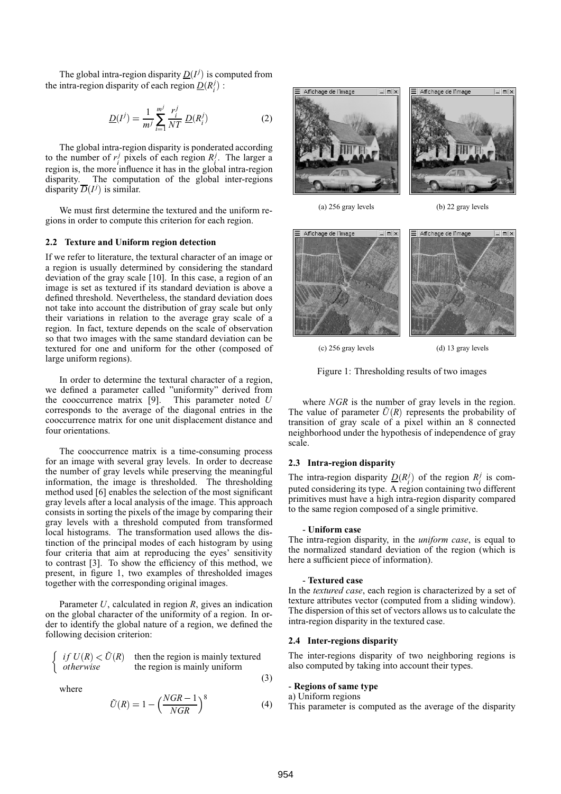The global intra-region disparity  $D(I^j)$  is computed from the intra-region disparity of each region  $\underline{D}(R_i^j)$ :

$$
\underline{D}(I^j) = \frac{1}{m^j} \sum_{i=1}^{m^j} \frac{r_i^j}{NT} \, \underline{D}(R_i^j) \tag{2}
$$

The global intra-region disparity is ponderated according to the number of  $r_i^j$  pixels of each region  $R_i^j$ . The larger a region is, the more influence it has in the global intra-region disparity. The computation of the global inter-regions disparity  $\overline{D}(I^j)$  is similar.

We must first determine the textured and the uniform regions in order to compute this criterion for each region.

#### **2.2 Texture and Uniform region detection**

If we refer to literature, the textural character of an image or a region is usually determined by considering the standard deviation of the gray scale [10]. In this case, a region of an image is set as textured if its standard deviation is above a defined threshold. Nevertheless, the standard deviation does not take into account the distribution of gray scale but only their variations in relation to the average gray scale of a region. In fact, texture depends on the scale of observation so that two images with the same standard deviation can be textured for one and uniform for the other (composed of large uniform regions).

In order to determine the textural character of a region, we defined a parameter called "uniformity" derived from the cooccurrence matrix [9]. This parameter noted *U* corresponds to the average of the diagonal entries in the cooccurrence matrix for one unit displacement distance and four orientations.

The cooccurrence matrix is a time-consuming process for an image with several gray levels. In order to decrease the number of gray levels while preserving the meaningful information, the image is thresholded. The thresholding method used [6] enables the selection of the most significant gray levels after a local analysis of the image. This approach consists in sorting the pixels of the image by comparing their gray levels with a threshold computed from transformed local histograms. The transformation used allows the distinction of the principal modes of each histogram by using four criteria that aim at reproducing the eyes' sensitivity to contrast [3]. To show the efficiency of this method, we present, in figure 1, two examples of thresholded images together with the corresponding original images.

Parameter *U*, calculated in region *R*, gives an indication on the global character of the uniformity of a region. In order to identify the global nature of a region, we defined the following decision criterion:

$$
\begin{cases} if U(R) < \tilde{U}(R) \text{ then the region is mainly returned} \\ otherwise \end{cases}
$$

where

$$
\tilde{U}(R) = 1 - \left(\frac{NGR - 1}{NGR}\right)^8\tag{4}
$$



(a) 256 gray levels (b) 22 gray levels



(c) 256 gray levels (d) 13 gray levels

Figure 1: Thresholding results of two images

where *NGR* is the number of gray levels in the region. The value of parameter  $\tilde{U}(R)$  represents the probability of transition of gray scale of a pixel within an 8 connected neighborhood under the hypothesis of independence of gray scale.

## **2.3 Intra-region disparity**

The intra-region disparity  $D(R_i^j)$  of the region  $R_i^j$  is computed considering its type. A region containing two different primitives must have a high intra-region disparity compared to the same region composed of a single primitive.

#### - **Uniform case**

The intra-region disparity, in the *uniform case*, is equal to the normalized standard deviation of the region (which is here a sufficient piece of information).

#### - **Textured case**

In the *textured case*, each region is characterized by a set of texture attributes vector (computed from a sliding window). The dispersion of this set of vectors allows us to calculate the intra-region disparity in the textured case.

#### **2.4 Inter-regions disparity**

The inter-regions disparity of two neighboring regions is also computed by taking into account their types.

### - **Regions of same type**

#### a) Uniform regions

This parameter is computed as the average of the disparity

(3)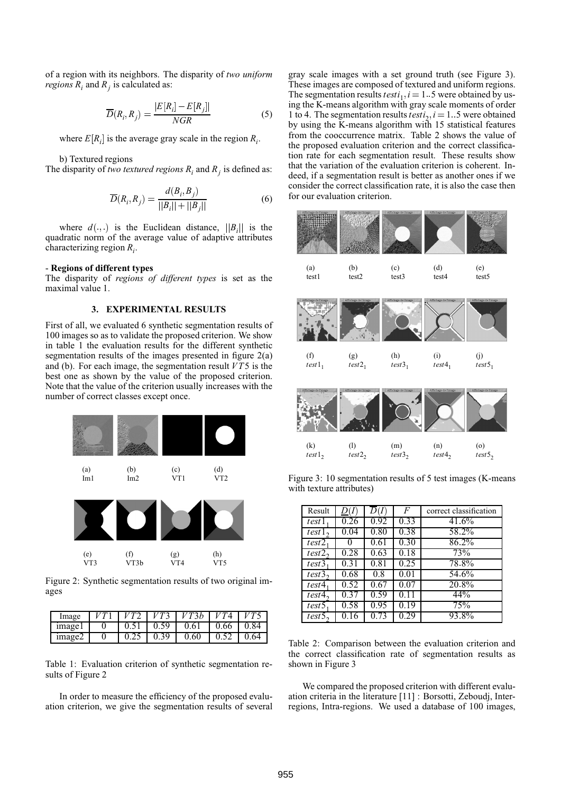of a region with its neighbors. The disparity of *two uniform regions*  $R_i$  and  $R_j$  is calculated as:

$$
\overline{D}(R_i, R_j) = \frac{|E[R_i] - E[R_j]|}{NGR}
$$
\n(5)

where  $E[R_i]$  is the average gray scale in the region  $R_i$ .

b) Textured regions

The disparity of *two textured regions*  $R_i$  and  $R_j$  is defined as:

$$
\overline{D}(R_i, R_j) = \frac{d(B_i, B_j)}{||B_i|| + ||B_j||}
$$
\n(6)

where  $d(.,.)$  is the Euclidean distance,  $||B_i||$  is the dratic norm of the vergoe value of adaptive attributes quadratic norm of the average value of adaptive attributes characterizing region *R<sup>i</sup>* .

#### - **Regions of different types**

The disparity of *regions of different types* is set as the maximal value 1.

### **3. EXPERIMENTAL RESULTS**

First of all, we evaluated 6 synthetic segmentation results of 100 images so as to validate the proposed criterion. We show in table 1 the evaluation results for the different synthetic segmentation results of the images presented in figure 2(a) and (b). For each image, the segmentation result *VT*5 is the best one as shown by the value of the proposed criterion. Note that the value of the criterion usually increases with the number of correct classes except once.



Figure 2: Synthetic segmentation results of two original images

| Image   |  |      | V T 36 |      |      |
|---------|--|------|--------|------|------|
| image l |  | 0.59 | 0.61   | 0.66 | O 84 |
| image2  |  | 0.39 | 0.60   | 0.52 | 0.64 |

Table 1: Evaluation criterion of synthetic segmentation results of Figure 2

In order to measure the efficiency of the proposed evaluation criterion, we give the segmentation results of several gray scale images with a set ground truth (see Figure 3). These images are composed of textured and uniform regions. The segmentation results  $testi_1, i = 1$ . 5 were obtained by using the K-means algorithm with gray scale moments of order 1 to 4. The segmentation results  $testi_2$ ,  $i = 1$ . 5 were obtained by using the K-means algorithm with 15 statistical features from the cooccurrence matrix. Table 2 shows the value of the proposed evaluation criterion and the correct classification rate for each segmentation result. These results show that the variation of the evaluation criterion is coherent. Indeed, if a segmentation result is better as another ones if we consider the correct classification rate, it is also the case then for our evaluation criterion.



Figure 3: 10 segmentation results of 5 test images (K-means with texture attributes)

| Result | D(I) |      | F    | correct classification |
|--------|------|------|------|------------------------|
| test1  | 0.26 | 0.92 | 0.33 | 41.6%                  |
| test1  | 0.04 | 0.80 | 0.38 | 58.2%                  |
| test2  |      | 0.61 | 0.30 | 86.2%                  |
| test2  | 0.28 | 0.63 | 0.18 | 73%                    |
| test3  | 0.31 | 0.81 | 0.25 | 78.8%                  |
| test3  | 0.68 | 0.8  | 0.01 | 54.6%                  |
| test4  | 0.52 | 0.67 | 0.07 | 20.8%                  |
| test4  | 0.37 | 0.59 | 0.11 | 44%                    |
| test5  | 0.58 | 0.95 | 0.19 | 75%                    |
| test5. | 0.16 | 0.73 | 0.29 | 93.8%                  |

Table 2: Comparison between the evaluation criterion and the correct classification rate of segmentation results as shown in Figure 3

We compared the proposed criterion with different evaluation criteria in the literature [11] : Borsotti, Zeboudj, Interregions, Intra-regions. We used a database of 100 images,